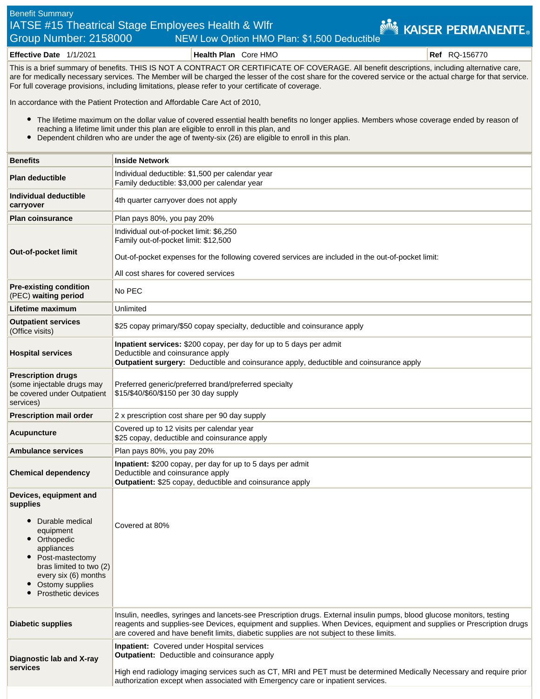## Benefit Summary IATSE #15 Theatrical Stage Employees Health & Wlfr **KAISER PERMANENTE**® Group Number: 2158000 NEW Low Option HMO Plan: \$1,500 Deductible

**Effective Date** 1/1/2021 **Health Plan** Core HMO **Ref** RQ-156770

This is a brief summary of benefits. THIS IS NOT A CONTRACT OR CERTIFICATE OF COVERAGE. All benefit descriptions, including alternative care, are for medically necessary services. The Member will be charged the lesser of the cost share for the covered service or the actual charge for that service. For full coverage provisions, including limitations, please refer to your certificate of coverage.

In accordance with the Patient Protection and Affordable Care Act of 2010,

- The lifetime maximum on the dollar value of covered essential health benefits no longer applies. Members whose coverage ended by reason of reaching a lifetime limit under this plan are eligible to enroll in this plan, and
- Dependent children who are under the age of twenty-six (26) are eligible to enroll in this plan.  $\bullet$

| <b>Benefits</b>                                                                                                                                                                                               | <b>Inside Network</b>                                                                                                                                                                                                                                                                                                                      |
|---------------------------------------------------------------------------------------------------------------------------------------------------------------------------------------------------------------|--------------------------------------------------------------------------------------------------------------------------------------------------------------------------------------------------------------------------------------------------------------------------------------------------------------------------------------------|
| <b>Plan deductible</b>                                                                                                                                                                                        | Individual deductible: \$1,500 per calendar year<br>Family deductible: \$3,000 per calendar year                                                                                                                                                                                                                                           |
| Individual deductible<br>carryover                                                                                                                                                                            | 4th quarter carryover does not apply                                                                                                                                                                                                                                                                                                       |
| <b>Plan coinsurance</b>                                                                                                                                                                                       | Plan pays 80%, you pay 20%                                                                                                                                                                                                                                                                                                                 |
| Out-of-pocket limit                                                                                                                                                                                           | Individual out-of-pocket limit: \$6,250<br>Family out-of-pocket limit: \$12,500<br>Out-of-pocket expenses for the following covered services are included in the out-of-pocket limit:<br>All cost shares for covered services                                                                                                              |
| <b>Pre-existing condition</b><br>(PEC) waiting period                                                                                                                                                         | No PEC                                                                                                                                                                                                                                                                                                                                     |
| Lifetime maximum                                                                                                                                                                                              | Unlimited                                                                                                                                                                                                                                                                                                                                  |
| <b>Outpatient services</b><br>(Office visits)                                                                                                                                                                 | \$25 copay primary/\$50 copay specialty, deductible and coinsurance apply                                                                                                                                                                                                                                                                  |
| <b>Hospital services</b>                                                                                                                                                                                      | Inpatient services: \$200 copay, per day for up to 5 days per admit<br>Deductible and coinsurance apply<br>Outpatient surgery: Deductible and coinsurance apply, deductible and coinsurance apply                                                                                                                                          |
| <b>Prescription drugs</b><br>(some injectable drugs may<br>be covered under Outpatient<br>services)                                                                                                           | Preferred generic/preferred brand/preferred specialty<br>\$15/\$40/\$60/\$150 per 30 day supply                                                                                                                                                                                                                                            |
| <b>Prescription mail order</b>                                                                                                                                                                                | 2 x prescription cost share per 90 day supply                                                                                                                                                                                                                                                                                              |
| Acupuncture                                                                                                                                                                                                   | Covered up to 12 visits per calendar year<br>\$25 copay, deductible and coinsurance apply                                                                                                                                                                                                                                                  |
| <b>Ambulance services</b>                                                                                                                                                                                     | Plan pays 80%, you pay 20%                                                                                                                                                                                                                                                                                                                 |
| <b>Chemical dependency</b>                                                                                                                                                                                    | Inpatient: \$200 copay, per day for up to 5 days per admit<br>Deductible and coinsurance apply<br>Outpatient: \$25 copay, deductible and coinsurance apply                                                                                                                                                                                 |
| Devices, equipment and<br>supplies<br>Durable medical<br>equipment<br>Orthopedic<br>appliances<br>Post-mastectomy<br>bras limited to two (2)<br>every six (6) months<br>Ostomy supplies<br>Prosthetic devices | Covered at 80%                                                                                                                                                                                                                                                                                                                             |
| <b>Diabetic supplies</b>                                                                                                                                                                                      | Insulin, needles, syringes and lancets-see Prescription drugs. External insulin pumps, blood glucose monitors, testing<br>reagents and supplies-see Devices, equipment and supplies. When Devices, equipment and supplies or Prescription drugs<br>are covered and have benefit limits, diabetic supplies are not subject to these limits. |
| Diagnostic lab and X-ray<br>services                                                                                                                                                                          | <b>Inpatient:</b> Covered under Hospital services<br><b>Outpatient:</b> Deductible and coinsurance apply<br>High end radiology imaging services such as CT, MRI and PET must be determined Medically Necessary and require prior<br>authorization except when associated with Emergency care or inpatient services.                        |